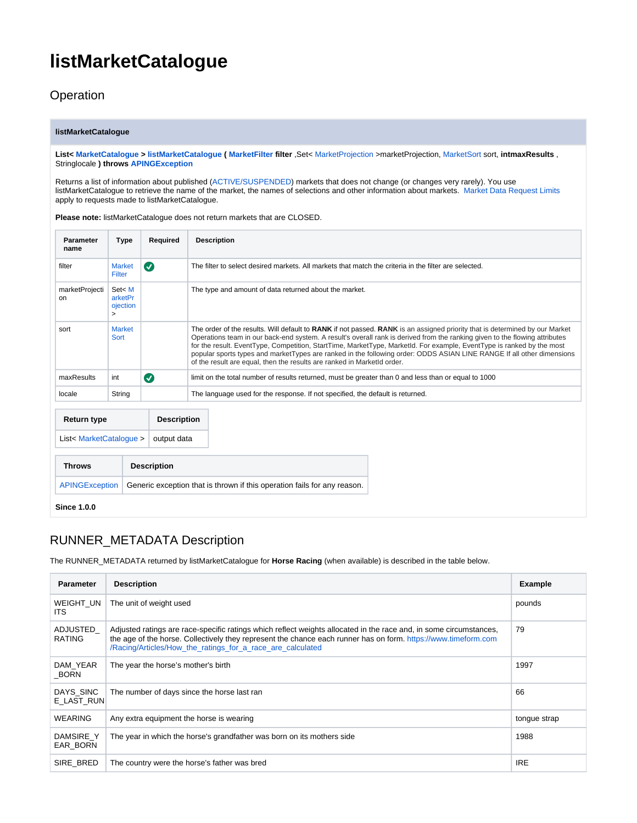## **listMarketCatalogue**

<span id="page-0-0"></span>**Operation** 

## **listMarketCatalogue**

**List< [MarketCatalogue](https://docs.developer.betfair.com/display/1smk3cen4v3lu3yomq5qye0ni/Betting+Type+Definitions#BettingTypeDefinitions-MarketCatalogue) > [listMarketCatalogue](#page-0-0) ( [MarketFilter](https://docs.developer.betfair.com/display/1smk3cen4v3lu3yomq5qye0ni/Betting+Type+Definitions#BettingTypeDefinitions-MarketFilter) filter** ,Set< [MarketProjection](https://docs.developer.betfair.com/display/1smk3cen4v3lu3yomq5qye0ni/Betting+Enums#BettingEnums-MarketProjection) >marketProjection, [MarketSort](https://docs.developer.betfair.com/display/1smk3cen4v3lu3yomq5qye0ni/Betting+Enums#BettingEnums-MarketSort) sort, **intmaxResults** , Stringlocale **) throws [APINGException](https://docs.developer.betfair.com/display/1smk3cen4v3lu3yomq5qye0ni/Betting+Exceptions#BettingExceptions-APINGException)**

Returns a list of information about published [\(ACTIVE/SUSPENDED](https://docs.developer.betfair.com/display/1smk3cen4v3lu3yomq5qye0ni/Betting+Type+Definitions)) markets that does not change (or changes very rarely). You use listMarketCatalogue to retrieve the name of the market, the names of selections and other information about markets. [Market Data Request Limits](https://docs.developer.betfair.com/display/1smk3cen4v3lu3yomq5qye0ni/Market+Data+Request+Limits) apply to requests made to listMarketCatalogue.

**Please note:** listMarketCatalogue does not return markets that are CLOSED.

| <b>Parameter</b><br>name | Type                                    | Required           | <b>Description</b>                                                                                                                                                                                                                                                                                                                                                                                                                                                                                                                                                                      |  |  |
|--------------------------|-----------------------------------------|--------------------|-----------------------------------------------------------------------------------------------------------------------------------------------------------------------------------------------------------------------------------------------------------------------------------------------------------------------------------------------------------------------------------------------------------------------------------------------------------------------------------------------------------------------------------------------------------------------------------------|--|--|
| filter                   | <b>Market</b><br>Filter                 | $\bullet$          | The filter to select desired markets. All markets that match the criteria in the filter are selected.                                                                                                                                                                                                                                                                                                                                                                                                                                                                                   |  |  |
| marketProjecti<br>on     | Set< M<br>arketPr<br>ojection<br>$\geq$ |                    | The type and amount of data returned about the market.                                                                                                                                                                                                                                                                                                                                                                                                                                                                                                                                  |  |  |
| sort                     | <b>Market</b><br>Sort                   |                    | The order of the results. Will default to RANK if not passed. RANK is an assigned priority that is determined by our Market<br>Operations team in our back-end system. A result's overall rank is derived from the ranking given to the flowing attributes<br>for the result. EventType, Competition, StartTime, MarketType, MarketId. For example, EventType is ranked by the most<br>popular sports types and marketTypes are ranked in the following order: ODDS ASIAN LINE RANGE If all other dimensions<br>of the result are equal, then the results are ranked in MarketId order. |  |  |
| maxResults               | int                                     | $\bullet$          | limit on the total number of results returned, must be greater than 0 and less than or equal to 1000                                                                                                                                                                                                                                                                                                                                                                                                                                                                                    |  |  |
| locale                   | String                                  |                    | The language used for the response. If not specified, the default is returned.                                                                                                                                                                                                                                                                                                                                                                                                                                                                                                          |  |  |
| Return type              |                                         | <b>Description</b> |                                                                                                                                                                                                                                                                                                                                                                                                                                                                                                                                                                                         |  |  |
| List< MarketCatalogue >  |                                         | output data        |                                                                                                                                                                                                                                                                                                                                                                                                                                                                                                                                                                                         |  |  |

| <b>Throws</b> | <b>Description</b>                                                                        |
|---------------|-------------------------------------------------------------------------------------------|
|               | APINGException   Generic exception that is thrown if this operation fails for any reason. |

**Since 1.0.0**

## RUNNER\_METADATA Description

The RUNNER\_METADATA returned by listMarketCatalogue for **Horse Racing** (when available) is described in the table below.

| <b>Parameter</b>          | <b>Description</b>                                                                                                                                                                                                                                                                                 | Example      |
|---------------------------|----------------------------------------------------------------------------------------------------------------------------------------------------------------------------------------------------------------------------------------------------------------------------------------------------|--------------|
| WEIGHT UN<br><b>ITS</b>   | The unit of weight used                                                                                                                                                                                                                                                                            | pounds       |
| ADJUSTED<br><b>RATING</b> | Adjusted ratings are race-specific ratings which reflect weights allocated in the race and, in some circumstances,<br>the age of the horse. Collectively they represent the chance each runner has on form. https://www.timeform.com<br>/Racing/Articles/How_the_ratings_for_a_race_are_calculated | 79           |
| DAM YEAR<br><b>BORN</b>   | The year the horse's mother's birth                                                                                                                                                                                                                                                                | 1997         |
| DAYS SINC<br>E LAST RUN   | The number of days since the horse last ran                                                                                                                                                                                                                                                        | 66           |
| <b>WEARING</b>            | Any extra equipment the horse is wearing                                                                                                                                                                                                                                                           | tongue strap |
| DAMSIRE Y<br>EAR BORN     | The year in which the horse's grandfather was born on its mothers side                                                                                                                                                                                                                             | 1988         |
| SIRE BRED                 | The country were the horse's father was bred                                                                                                                                                                                                                                                       | <b>IRE</b>   |